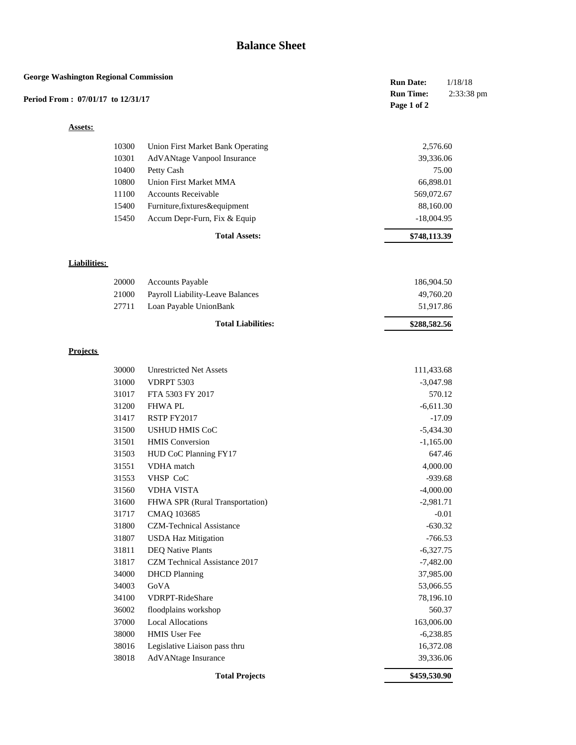## **Balance Sheet**

| <b>George Washington Regional Commission</b><br>Period From: 07/01/17 to 12/31/17 |                                                            | <b>Run Date:</b>                | 1/18/18    |
|-----------------------------------------------------------------------------------|------------------------------------------------------------|---------------------------------|------------|
|                                                                                   |                                                            | <b>Run Time:</b><br>Page 1 of 2 | 2:33:38 pm |
| Assets:                                                                           |                                                            |                                 |            |
| 10300                                                                             | Union First Market Bank Operating                          | 2,576.60                        |            |
| 10301                                                                             | AdVANtage Vanpool Insurance                                | 39,336.06                       |            |
| 10400                                                                             | Petty Cash                                                 |                                 | 75.00      |
| 10800                                                                             | <b>Union First Market MMA</b>                              | 66,898.01                       |            |
| 11100                                                                             | <b>Accounts Receivable</b>                                 | 569,072.67                      |            |
| 15400                                                                             | Furniture, fixtures&equipment                              | 88,160.00                       |            |
| 15450                                                                             | Accum Depr-Furn, Fix & Equip                               | $-18,004.95$                    |            |
|                                                                                   | <b>Total Assets:</b>                                       | \$748,113.39                    |            |
| <b>Liabilities:</b>                                                               |                                                            |                                 |            |
|                                                                                   |                                                            |                                 |            |
| 20000                                                                             | Accounts Payable                                           | 186,904.50                      |            |
| 21000<br>27711                                                                    | Payroll Liability-Leave Balances<br>Loan Payable UnionBank | 49,760.20<br>51,917.86          |            |
|                                                                                   |                                                            |                                 |            |
|                                                                                   | <b>Total Liabilities:</b>                                  | \$288,582.56                    |            |
| <b>Projects</b>                                                                   |                                                            |                                 |            |
| 30000                                                                             | <b>Unrestricted Net Assets</b>                             | 111,433.68                      |            |
| 31000                                                                             | <b>VDRPT 5303</b>                                          | $-3,047.98$                     |            |
| 31017                                                                             | FTA 5303 FY 2017                                           |                                 | 570.12     |
| 31200                                                                             | <b>FHWAPL</b>                                              | $-6,611.30$                     |            |
| 31417                                                                             | RSTP FY2017                                                |                                 | $-17.09$   |
| 31500                                                                             | <b>USHUD HMIS CoC</b>                                      | $-5,434.30$                     |            |
| 31501                                                                             | <b>HMIS</b> Conversion                                     | $-1,165.00$                     |            |
| 31503                                                                             | HUD CoC Planning FY17                                      |                                 | 647.46     |
| 31551                                                                             | VDHA match                                                 | 4,000.00                        |            |
| 31553                                                                             | VHSP CoC                                                   | $-939.68$                       |            |
| 31560                                                                             | <b>VDHA VISTA</b>                                          | $-4,000.00$                     |            |
| 31600                                                                             | FHWA SPR (Rural Transportation)                            | $-2,981.71$                     |            |
| 31717                                                                             | CMAQ 103685                                                |                                 | $-0.01$    |
| 31800                                                                             | CZM-Technical Assistance                                   | $-630.32$                       |            |
| 31807                                                                             | <b>USDA Haz Mitigation</b>                                 | $-766.53$                       |            |
| 31811                                                                             | <b>DEQ Native Plants</b>                                   | $-6,327.75$                     |            |
| 31817                                                                             | CZM Technical Assistance 2017                              | $-7,482.00$                     |            |
| 34000                                                                             | <b>DHCD</b> Planning                                       | 37,985.00                       |            |
| 34003                                                                             | GoVA                                                       | 53,066.55                       |            |
| 34100                                                                             | VDRPT-RideShare                                            | 78,196.10                       |            |
| 36002                                                                             | floodplains workshop                                       |                                 | 560.37     |
| 37000                                                                             | <b>Local Allocations</b>                                   | 163,006.00                      |            |
| 38000                                                                             | HMIS User Fee                                              | $-6,238.85$                     |            |
| 38016                                                                             | Legislative Liaison pass thru                              | 16,372.08                       |            |
| 38018                                                                             | AdVANtage Insurance                                        | 39,336.06                       |            |
|                                                                                   | <b>Total Projects</b>                                      | \$459,530.90                    |            |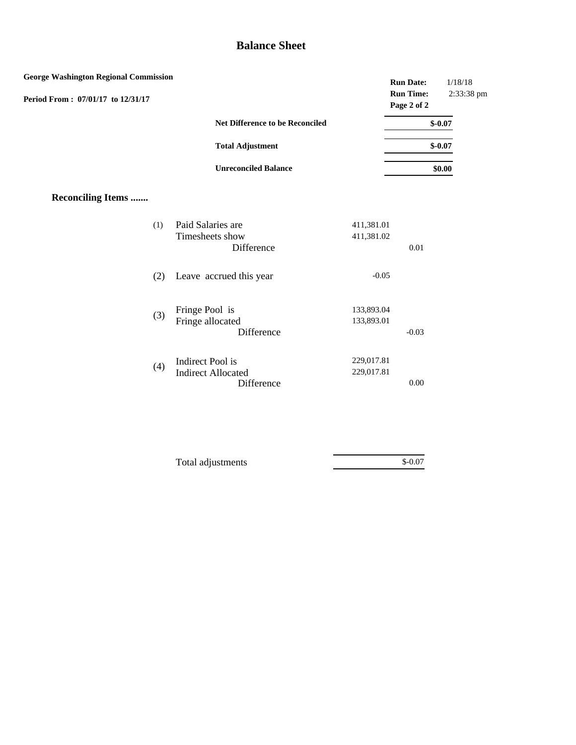## **Balance Sheet**

| <b>George Washington Regional Commission</b><br>Period From: 07/01/17 to 12/31/17 |                                                             |                          | <b>Run Date:</b><br><b>Run Time:</b><br>Page 2 of 2 | 1/18/18<br>2:33:38 pm |
|-----------------------------------------------------------------------------------|-------------------------------------------------------------|--------------------------|-----------------------------------------------------|-----------------------|
|                                                                                   | Net Difference to be Reconciled                             |                          |                                                     | $$-0.07$              |
|                                                                                   | <b>Total Adjustment</b>                                     |                          |                                                     | $$-0.07$              |
|                                                                                   | <b>Unreconciled Balance</b>                                 |                          |                                                     | \$0.00                |
| <b>Reconciling Items </b>                                                         |                                                             |                          |                                                     |                       |
| (1)                                                                               | Paid Salaries are<br>Timesheets show<br>Difference          | 411,381.01<br>411,381.02 | 0.01                                                |                       |
| (2)                                                                               | Leave accrued this year                                     | $-0.05$                  |                                                     |                       |
| (3)                                                                               | Fringe Pool is<br>Fringe allocated<br>Difference            | 133,893.04<br>133,893.01 | $-0.03$                                             |                       |
| (4)                                                                               | Indirect Pool is<br><b>Indirect Allocated</b><br>Difference | 229,017.81<br>229,017.81 | $0.00\,$                                            |                       |
|                                                                                   |                                                             |                          |                                                     |                       |

| Total adjustments | $$-0.07$ |  |
|-------------------|----------|--|
|                   |          |  |